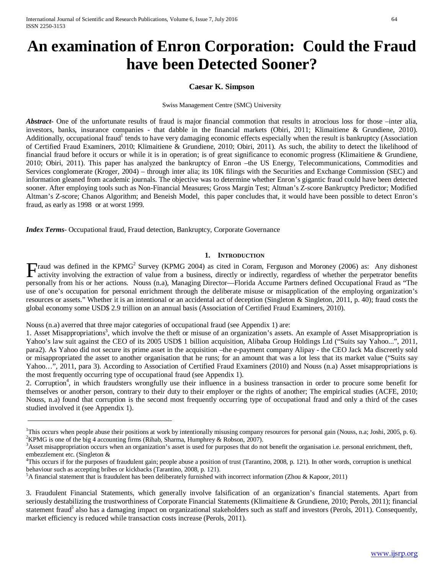# **An examination of Enron Corporation: Could the Fraud have been Detected Sooner?**

#### **Caesar K. Simpson**

Swiss Management Centre (SMC) University

*Abstract***-** One of the unfortunate results of fraud is major financial commotion that results in atrocious loss for those –inter alia, investors, banks, insurance companies - that dabble in the financial markets (Obiri, 2011; Klimaitiene & Grundiene, 2010). Additionally, occupational fraud<sup>1</sup> tends to have very damaging economic effects especially when the result is bankruptcy (Association of Certified Fraud Examiners, 2010; Klimaitiene & Grundiene, 2010; Obiri, 2011). As such, the ability to detect the likelihood of financial fraud before it occurs or while it is in operation; is of great significance to economic progress (Klimaitiene & Grundiene, 2010; Obiri, 2011). This paper has analyzed the bankruptcy of Enron –the US Energy, Telecommunications, Commodities and Services conglomerate (Kroger, 2004) – through inter alia; its 10K filings with the Securities and Exchange Commission (SEC) and information gleaned from academic journals. The objective was to determine whether Enron's gigantic fraud could have been detected sooner. After employing tools such as Non-Financial Measures; Gross Margin Test; Altman's Z-score Bankruptcy Predictor; Modified Altman's Z-score; Chanos Algorithm; and Beneish Model, this paper concludes that, it would have been possible to detect Enron's fraud, as early as 1998 or at worst 1999.

*Index Terms*- Occupational fraud, Fraud detection, Bankruptcy, Corporate Governance

#### **1. INTRODUCTION**

Fraud was defined in the KPMG<sup>2</sup> Survey (KPMG 2004) as cited in Coram, Ferguson and Moroney (2006) as: Any dishonest activity involving the extraction of value from a business, directly or indirectly, regardless of whethe activity involving the extraction of value from a business, directly or indirectly, regardless of whether the perpetrator benefits personally from his or her actions. Nouss (n.a), Managing Director—Florida Accume Partners defined Occupational Fraud as "The use of one's occupation for personal enrichment through the deliberate misuse or misapplication of the employing organization's resources or assets." Whether it is an intentional or an accidental act of deception (Singleton & Singleton, 2011, p. 40); fraud costs the global economy some USD\$ 2.9 trillion on an annual basis (Association of Certified Fraud Examiners, 2010).

Nouss (n.a) averred that three major categories of occupational fraud (see Appendix 1) are:

1. Asset Misappropriations<sup>3</sup>, which involve the theft or misuse of an organization's assets. An example of Asset Misappropriation is Yahoo's law suit against the CEO of its 2005 USD\$ 1 billion acquisition, Alibaba Group Holdings Ltd ("Suits say Yahoo...", 2011, para2). As Yahoo did not secure its prime asset in the acquisition –the e-payment company Alipay - the CEO Jack Ma discreetly sold or misappropriated the asset to another organisation that he runs; for an amount that was a lot less that its market value ("Suits say Yahoo…", 2011, para 3). According to Association of Certified Fraud Examiners (2010) and Nouss (n.a) Asset misappropriations is the most frequently occurring type of occupational fraud (see Appendix 1).

2. Corruption<sup>4</sup>, in which fraudsters wrongfully use their influence in a business transaction in order to procure some benefit for themselves or another person, contrary to their duty to their employer or the rights of another; The empirical studies (ACFE, 2010; Nouss, n.a) found that corruption is the second most frequently occurring type of occupational fraud and only a third of the cases studied involved it (see Appendix 1).

<sup>&</sup>lt;sup>1</sup>This occurs when people abuse their positions at work by intentionally misusing company resources for personal gain (Nouss, n.a; Joshi, 2005, p. 6). <sup>2</sup>KBMG is one of the hig 4 ecounting firms (Bibeb, Sharma Humphray &  $KPMG$  is one of the big 4 accounting firms (Rihab, Sharma, Humphrey & Robson, 2007).

<sup>&</sup>lt;sup>3</sup>Asset misappropriation occurs when an organization's asset is used for purposes that do not benefit the organisation i.e. personal enrichment, theft, embezzlement etc. (Singleton &

<sup>&</sup>lt;sup>4</sup>This occurs if for the purposes of fraudulent gain; people abuse a position of trust (Tarantino, 2008, p. 121). In other words, corruption is unethical behaviour such as accepting bribes or kickbacks (Tarantino, 2008, p. 121).

 ${}^{5}A$  financial statement that is fraudulent has been deliberately furnished with incorrect information (Zhou & Kapoor, 2011)

<sup>3.</sup> Fraudulent Financial Statements, which generally involve falsification of an organization's financial statements. Apart from seriously destabilizing the trustworthiness of Corporate Financial Statements (Klimaitiene & Grundiene, 2010; Perols, 2011); financial statement fraud<sup>5</sup> also has a damaging impact on organizational stakeholders such as staff and investors (Perols, 2011). Consequently, market efficiency is reduced while transaction costs increase (Perols, 2011).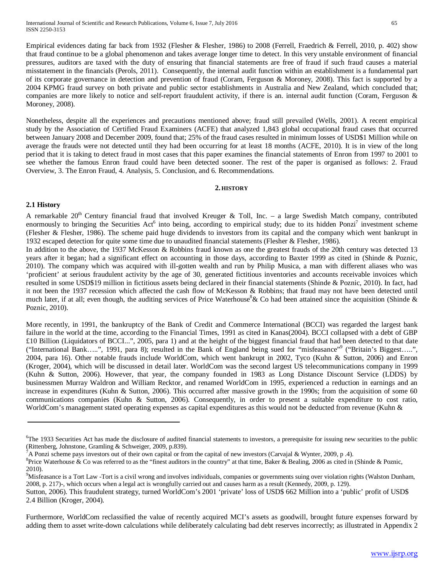Empirical evidences dating far back from 1932 (Flesher & Flesher, 1986) to 2008 (Ferrell, Fraedrich & Ferrell, 2010, p. 402) show that fraud continue to be a global phenomenon and takes average longer time to detect. In this very unstable environment of financial pressures, auditors are taxed with the duty of ensuring that financial statements are free of fraud if such fraud causes a material misstatement in the financials (Perols, 2011). Consequently, the internal audit function within an establishment is a fundamental part of its corporate governance in detection and prevention of fraud (Coram, Ferguson & Moroney, 2008). This fact is supported by a 2004 KPMG fraud survey on both private and public sector establishments in Australia and New Zealand, which concluded that; companies are more likely to notice and self-report fraudulent activity, if there is an. internal audit function (Coram, Ferguson & Moroney, 2008).

Nonetheless, despite all the experiences and precautions mentioned above; fraud still prevailed (Wells, 2001). A recent empirical study by the Association of Certified Fraud Examiners (ACFE) that analyzed 1,843 global occupational fraud cases that occurred between January 2008 and December 2009, found that; 25% of the fraud cases resulted in minimum losses of USD\$1 Million while on average the frauds were not detected until they had been occurring for at least 18 months (ACFE, 2010). It is in view of the long period that it is taking to detect fraud in most cases that this paper examines the financial statements of Enron from 1997 to 2001 to see whether the famous Enron fraud could have been detected sooner. The rest of the paper is organised as follows: 2. Fraud Overview, 3. The Enron Fraud, 4. Analysis, 5. Conclusion, and 6. Recommendations.

#### **2. HISTORY**

#### **2.1 History**

A remarkable 20<sup>th</sup> Century financial fraud that involved Kreuger & Toll, Inc. – a large Swedish Match company, contributed enormously to bringing the Securities Act<sup>6</sup> into being, according to empirical study; due to its hidden Ponzi<sup>7</sup> investment scheme (Flesher & Flesher, 1986). The scheme paid huge dividends to investors from its capital and the company which went bankrupt in 1932 escaped detection for quite some time due to unaudited financial statements (Flesher & Flesher, 1986).

In addition to the above, the 1937 McKesson & Robbins fraud known as one the greatest frauds of the 20th century was detected 13 years after it began; had a significant effect on accounting in those days, according to Baxter 1999 as cited in (Shinde & Poznic, 2010). The company which was acquired with ill-gotten wealth and run by Philip Musica, a man with different aliases who was 'proficient' at serious fraudulent activity by the age of 30, generated fictitious inventories and accounts receivable invoices which resulted in some USD\$19 million in fictitious assets being declared in their financial statements (Shinde & Poznic, 2010). In fact, had it not been the 1937 recession which affected the cash flow of McKesson & Robbins; that fraud may not have been detected until much later, if at all; even though, the auditing services of Price Waterhouse<sup>8</sup>& Co had been attained since the acquisition (Shinde & Poznic, 2010).

More recently, in 1991, the bankruptcy of the Bank of Credit and Commerce International (BCCI) was regarded the largest bank failure in the world at the time, according to the Financial Times, 1991 as cited in Kanas(2004). BCCI collapsed with a debt of GBP £10 Billion (Liquidators of BCCI...", 2005, para 1) and at the height of the biggest financial fraud that had been detected to that date ("International Bank…..", 1991, para 8); resulted in the Bank of England being sued for "misfeasance"9 ("Britain's Biggest…..", 2004, para 16). Other notable frauds include WorldCom, which went bankrupt in 2002, Tyco (Kuhn & Sutton, 2006) and Enron (Kroger, 2004), which will be discussed in detail later. WorldCom was the second largest US telecommunications company in 1999 (Kuhn & Sutton, 2006). However, that year, the company founded in 1983 as Long Distance Discount Service (LDDS) by businessmen Murray Waldron and William Recktor, and renamed WorldCom in 1995, experienced a reduction in earnings and an increase in expenditures (Kuhn & Sutton, 2006). This occurred after massive growth in the 1990s; from the acquisition of some 60 communications companies (Kuhn & Sutton, 2006). Consequently, in order to present a suitable expenditure to cost ratio, WorldCom's management stated operating expenses as capital expenditures as this would not be deducted from revenue (Kuhn &

<sup>&</sup>lt;sup>6</sup>The 1933 Securities Act has made the disclosure of audited financial statements to investors, a prerequisite for issuing new securities to the public (Rittenberg, Johnstone, Gramling & Schweiger, 2009, p.839).

 $A^{\dagger}$  A Ponzi scheme pays investors out of their own capital or from the capital of new investors (Carvajal & Wynter, 2009, p .4).

<sup>&</sup>lt;sup>8</sup>Price Waterhouse & Co was referred to as the "finest auditors in the country" at that time, Baker & Bealing, 2006 as cited in (Shinde & Poznic, 2010).

<sup>&</sup>lt;sup>9</sup>Misfeasance is a Tort Law -Tort is a civil wrong and involves individuals, companies or governments suing over violation rights (Walston Dunham, 2008, p. 217)-, which occurs when a legal act is wrongfully carried out and causes harm as a result (Kennedy, 2009, p. 129).

Sutton, 2006). This fraudulent strategy, turned WorldCom's 2001 'private' loss of USD\$ 662 Million into a 'public' profit of USD\$ 2.4 Billion (Kroger, 2004).

Furthermore, WorldCom reclassified the value of recently acquired MCI's assets as goodwill, brought future expenses forward by adding them to asset write-down calculations while deliberately calculating bad debt reserves incorrectly; as illustrated in Appendix 2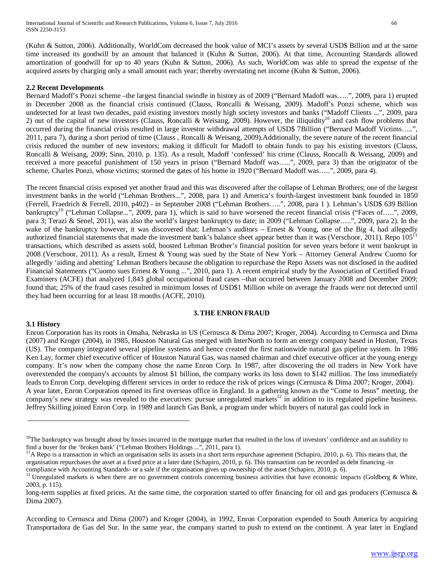(Kuhn & Sutton, 2006). Additionally, WorldCom decreased the book value of MCI's assets by several USD\$ Billion and at the same time increased its goodwill by an amount that balanced it (Kuhn & Sutton, 2006). At that time, Accounting Standards allowed amortization of goodwill for up to 40 years (Kuhn & Sutton, 2006). As such, WorldCom was able to spread the expense of the acquired assets by charging only a small amount each year; thereby overstating net income (Kuhn & Sutton, 2006).

#### **2.2 Recent Developments**

Bernard Madoff's Ponzi scheme –the largest financial swindle in history as of 2009 ("Bernard Madoff was…..", 2009, para 1) erupted in December 2008 as the financial crisis continued (Clauss, Roncalli & Weisang, 2009). Madoff's Ponzi scheme, which was undetected for at least two decades, paid existing investors mostly high society investors and banks ("Madoff Clients ...", 2009, para 2) out of the capital of new investors (Clauss, Roncalli & Weisang, 2009). However, the illiquidity<sup>10</sup> and cash flow problems that occurred during the financial crisis resulted in large investor withdrawal attempts of USD\$ 7Billion ("Bernard Madoff Victims…..", 2011, para 7), during a short period of time (Clauss , Roncalli & Weisang, 2009).Additionally, the severe nature of the recent financial crisis reduced the number of new investors; making it difficult for Madoff to obtain funds to pay his existing investors (Clauss, Roncalli & Weisang, 2009; Sinn, 2010, p. 135). As a result, Madoff 'confessed' his crime (Clauss, Roncalli & Weisang, 2009) and received a more peaceful punishment of 150 years in prison ("Bernard Madoff was…..", 2009, para 3) than the originator of the scheme, Charles Ponzi, whose victims; stormed the gates of his home in 1920 ("Bernard Madoff was…..", 2009, para 4).

The recent financial crisis exposed yet another fraud and this was discovered after the collapse of Lehman Brothers; one of the largest investment banks in the world ("Lehman Brothers...", 2008, para 1) and America's fourth-largest investment bank founded in 1850 (Ferrell, Fraedrich & Ferrell, 2010, p402) - in September 2008 ("Lehman Brothers…..", 2008, para 1 ). Lehman's USD\$ 639 Billion bankruptcy<sup>10</sup> ("Lehman Collapse...", 2009, para 1), which is said to have worsened the recent financial crisis ("Faces of.....", 2009, para 3; Terazi & Senel, 2011), was also the world's largest bankruptcy to date; in 2009 ("Lehman Collapse…..", 2009, para 2). In the wake of the bankruptcy however, it was discovered that; Lehman's auditors – Ernest  $&$  Young, one of the Big 4, had allegedly authorized financial statements that made the investment bank's balance sheet appear better than it was (Verschoor, 2011). Repo 105<sup>11</sup> transactions, which described as assets sold, boosted Lehman Brother's financial position for seven years before it went bankrupt in 2008 (Verschoor, 2011). As a result, Ernest & Young was sued by the State of New York – Attorney General Andrew Cuomo for allegedly 'aiding and abetting' Lehman Brothers because the obligation to repurchase the Repo Assets was not disclosed in the audited Financial Statements ("Cuomo sues Ernest & Young ...", 2010, para 1). A recent empirical study by the Association of Certified Fraud Examiners (ACFE) that analyzed 1,843 global occupational fraud cases –that occurred between January 2008 and December 2009; found that; 25% of the fraud cases resulted in minimum losses of USD\$1 Million while on average the frauds were not detected until they had been occurring for at least 18 months (ACFE, 2010).

#### **3.THE ENRON FRAUD**

#### **3.1 History**

Enron Corporation has its roots in Omaha, Nebraska in US (Cernusca & Dima 2007; Kroger, 2004). According to Cernusca and Dima (2007) and Kroger (2004), in 1985, Houston Natural Gas merged with InterNorth to form an energy company based in Huston, Texas (US). The company integrated several pipeline systems and hence created the first nationwide natural gas pipeline system. In 1986 Ken Lay, former chief executive officer of Houston Natural Gas, was named chairman and chief executive officer at the young energy company. It's now when the company chose the name Enron Corp. In 1987, after discovering the oil traders in New York have overextended the company's accounts by almost \$1 billion, the company works its loss down to \$142 million. The loss immediately leads to Enron Corp. developing different services in order to reduce the risk of prices wings (Cernusca & Dima 2007; Kroger, 2004). A year later, Enron Corporation opened its first overseas office in England. In a gathering known as the "Come to Jesus" meeting, the company's new strategy was revealed to the executives: pursue unregulated markets<sup>12</sup> in addition to its regulated pipeline business. Jeffrey Skilling joined Enron Corp. in 1989 and launch Gas Bank, a program under which buyers of natural gas could lock in

According to Cernusca and Dima (2007) and Kroger (2004), in 1992, Enron Corporation expended to South America by acquiring Transportadora de Gas del Sur. In the same year, the company started to push to extend on the continent. A year later in England

<sup>&</sup>lt;sup>10</sup>The bankruptcy was brought about by losses incurred in the mortgage market that resulted in the loss of investors' confidence and an inability to find a buyer for the 'broken bank' ("Lehman Brothers Holdings ...", 201

<sup>&</sup>lt;sup>11</sup>A Repo is a transaction in which an organisation sells its assets in a short term repurchase agreement (Schapiro, 2010, p. 6). This means that, the organisation repurchases the asset at a fixed price at a later date (Schapiro, 2010, p. 6). This transaction can be recorded as debt financing -in

compliance with Accounting Standards- or a sale if the organisation gives up ownership of the asset (Schapiro, 2010, p. 6).<br><sup>12</sup> Unregulated markets is when there are no government controls concerning business activities 2003, p. 115).

long-term supplies at fixed prices. At the same time, the corporation started to offer financing for oil and gas producers (Cernusca & Dima 2007).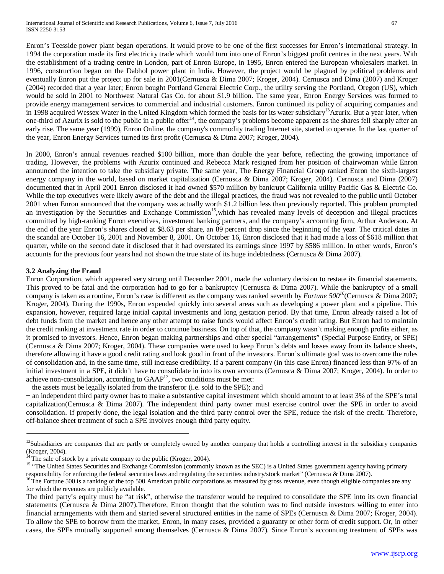Enron's Teesside power plant began operations. It would prove to be one of the first successes for Enron's international strategy. In 1994 the corporation made its first electricity trade which would turn into one of Enron's biggest profit centres in the next years. With the establishment of a trading centre in London, part of Enron Europe, in 1995, Enron entered the European wholesalers market. In 1996, construction began on the Dabhol power plant in India. However, the project would be plagued by political problems and eventually Enron put the project up for sale in 2001(Cernusca & Dima 2007; Kroger, 2004). Cernusca and Dima (2007) and Kroger (2004) recorded that a year later; Enron bought Portland General Electric Corp., the utility serving the Portland, Oregon (US), which would be sold in 2001 to Northwest Natural Gas Co. for about \$1.9 billion. The same year, Enron Energy Services was formed to provide energy management services to commercial and industrial customers. Enron continued its policy of acquiring companies and in 1998 acquired Wessex Water in the United Kingdom which formed the basis for its water subsidiary<sup>13</sup>Azurix. But a year later, when one-third of Azurix is sold to the public in a public offer<sup>14</sup>, the company's problems become apparent as the shares fell sharply after an early rise. The same year (1999), Enron Online, the company's commodity trading Internet site, started to operate. In the last quarter of the year, Enron Energy Services turned its first profit (Cernusca & Dima 2007; Kroger, 2004).

In 2000, Enron's annual revenues reached \$100 billion, more than double the year before, reflecting the growing importance of trading. However, the problems with Azurix continued and Rebecca Mark resigned from her position of chairwoman while Enron announced the intention to take the subsidiary private. The same year, The Energy Financial Group ranked Enron the sixth-largest energy company in the world, based on market capitalization (Cernusca & Dima 2007; Kroger, 2004). Cernusca and Dima (2007) documented that in April 2001 Enron disclosed it had owned \$570 million by bankrupt California utility Pacific Gas & Electric Co. While the top executives were likely aware of the debt and the illegal practices, the fraud was not revealed to the public until October 2001 when Enron announced that the company was actually worth \$1.2 billion less than previously reported. This problem prompted an investigation by the Securities and Exchange Commission<sup>15</sup>, which has revealed many levels of deception and illegal practices committed by high-ranking Enron executives, investment banking partners, and the company's accounting firm, Arthur Anderson. At the end of the year Enron's shares closed at \$8.63 per share, an 89 percent drop since the beginning of the year. The critical dates in the scandal are October 16, 2001 and November 8, 2001. On October 16, Enron disclosed that it had made a loss of \$618 million that quarter, while on the second date it disclosed that it had overstated its earnings since 1997 by \$586 million. In other words, Enron's accounts for the previous four years had not shown the true state of its huge indebtedness (Cernusca & Dima 2007).

#### **3.2 Analyzing the Fraud**

Enron Corporation, which appeared very strong until December 2001, made the voluntary decision to restate its financial statements. This proved to be fatal and the corporation had to go for a bankruptcy (Cernusca & Dima 2007). While the bankruptcy of a small company is taken as a routine, Enron's case is different as the company was ranked seventh by *Fortune* 500<sup>16</sup>(Cernusca & Dima 2007; Kroger, 2004). During the 1990s, Enron expended quickly into several areas such as developing a power plant and a pipeline. This expansion, however, required large initial capital investments and long gestation period. By that time, Enron already raised a lot of debt funds from the market and hence any other attempt to raise funds would affect Enron's credit rating. But Enron had to maintain the credit ranking at investment rate in order to continue business. On top of that, the company wasn't making enough profits either, as it promised to investors. Hence, Enron began making partnerships and other special "arrangements" (Special Purpose Entity, or SPE) (Cernusca & Dima 2007; Kroger, 2004). These companies were used to keep Enron's debts and losses away from its balance sheets, therefore allowing it have a good credit rating and look good in front of the investors. Enron's ultimate goal was to overcome the rules of consolidation and, in the same time, still increase credibility. If a parent company (in this case Enron) financed less than 97% of an initial investment in a SPE, it didn't have to consolidate in into its own accounts (Cernusca & Dima 2007; Kroger, 2004). In order to achieve non-consolidation, according to  $GAAP<sup>17</sup>$ , two conditions must be met:

− the assets must be legally isolated from the transferor (i.e. sold to the SPE); and

− an independent third party owner has to make a substantive capital investment which should amount to at least 3% of the SPE's total capitalization(Cernusca & Dima 2007). The independent third party owner must exercise control over the SPE in order to avoid consolidation. If properly done, the legal isolation and the third party control over the SPE, reduce the risk of the credit. Therefore, off-balance sheet treatment of such a SPE involves enough third party equity.

<sup>&</sup>lt;sup>13</sup>Subsidiaries are companies that are partly or completely owned by another company that holds a controlling interest in the subsidiary companies (Kroger, 2004).  $14$ The sale of stock by a private company to the public (Kroger, 2004).

<sup>&</sup>lt;sup>15</sup> "The United States Securities and Exchange Commission (commonly known as the SEC) is a United States government agency having primary

responsibility for enforcing the federal securities laws and regulating the securities industry/stock market" (Cernusca & Dima 2007).<br><sup>16</sup>The Fortune 500 is a ranking of the top 500 American public corporations as measure for which the revenues are publicly available.

The third party's equity must be "at risk", otherwise the transferor would be required to consolidate the SPE into its own financial statements (Cernusca & Dima 2007).Therefore, Enron thought that the solution was to find outside investors willing to enter into financial arrangements with them and started several structured entities in the name of SPEs (Cernusca & Dima 2007; Kroger, 2004). To allow the SPE to borrow from the market, Enron, in many cases, provided a guaranty or other form of credit support. Or, in other cases, the SPEs mutually supported among themselves (Cernusca & Dima 2007). Since Enron's accounting treatment of SPEs was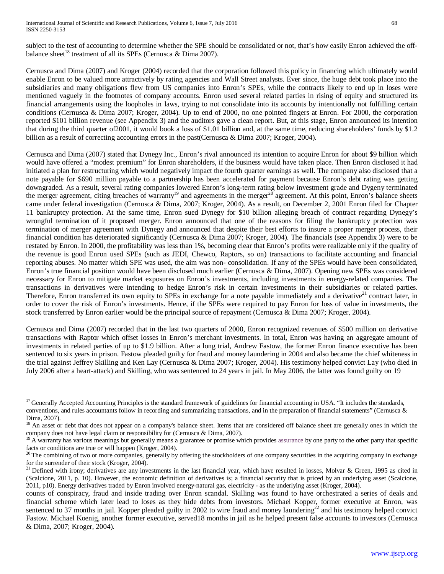subject to the test of accounting to determine whether the SPE should be consolidated or not, that's how easily Enron achieved the offbalance sheet<sup>18</sup> treatment of all its SPEs (Cernusca & Dima 2007).

Cernusca and Dima (2007) and Kroger (2004) recorded that the corporation followed this policy in financing which ultimately would enable Enron to be valued more attractively by rating agencies and Wall Street analysts. Ever since, the huge debt took place into the subsidiaries and many obligations flew from US companies into Enron's SPEs, while the contracts likely to end up in loses were mentioned vaguely in the footnotes of company accounts. Enron used several related parties in rising of equity and structured its financial arrangements using the loopholes in laws, trying to not consolidate into its accounts by intentionally not fulfilling certain conditions (Cernusca & Dima 2007; Kroger, 2004). Up to end of 2000, no one pointed fingers at Enron. For 2000, the corporation reported \$101 billion revenue (see Appendix 3) and the auditors gave a clean report. But, at this stage, Enron announced its intention that during the third quarter of2001, it would book a loss of \$1.01 billion and, at the same time, reducing shareholders' funds by \$1.2 billion as a result of correcting accounting errors in the past(Cernusca & Dima 2007; Kroger, 2004).

Cernusca and Dima (2007) stated that Dynegy Inc., Enron's rival announced its intention to acquire Enron for about \$9 billion which would have offered a "modest premium" for Enron shareholders, if the business would have taken place. Then Enron disclosed it had initiated a plan for restructuring which would negatively impact the fourth quarter earnings as well. The company also disclosed that a note payable for \$690 million payable to a partnership has been accelerated for payment because Enron's debt rating was getting downgraded. As a result, several rating companies lowered Enron's long-term rating below investment grade and Dygeny terminated the merger agreement, citing breaches of warranty<sup>19</sup> and agreements in the merger<sup>20</sup> agreement. At this point, Enron's balance sheets came under federal investigation (Cernusca & Dima, 2007; Kroger, 2004). As a result, on December 2, 2001 Enron filed for Chapter 11 bankruptcy protection. At the same time, Enron sued Dynegy for \$10 billion alleging breach of contract regarding Dynegy's wrongful termination of it proposed merger. Enron announced that one of the reasons for filing the bankruptcy protection was termination of merger agreement with Dynegy and announced that despite their best efforts to insure a proper merger process, their financial condition has deteriorated significantly (Cernusca & Dima 2007; Kroger, 2004). The financials (see Appendix 3) were to be restated by Enron. In 2000, the profitability was less than 1%, becoming clear that Enron's profits were realizable only if the quality of the revenue is good Enron used SPEs (such as JEDI, Chewco, Raptors, so on) transactions to facilitate accounting and financial reporting abuses. No matter which SPE was used, the aim was non- consolidation. If any of the SPEs would have been consolidated, Enron's true financial position would have been disclosed much earlier (Cernusca & Dima, 2007). Opening new SPEs was considered necessary for Enron to mitigate market exposures on Enron's investments, including investments in energy-related companies. The transactions in derivatives were intending to hedge Enron's risk in certain investments in their subsidiaries or related parties. Therefore, Enron transferred its own equity to SPEs in exchange for a note payable immediately and a derivative<sup>21</sup> contract later, in order to cover the risk of Enron's investments. Hence, if the SPEs were required to pay Enron for loss of value in investments, the stock transferred by Enron earlier would be the principal source of repayment (Cernusca & Dima 2007; Kroger, 2004).

Cernusca and Dima (2007) recorded that in the last two quarters of 2000, Enron recognized revenues of \$500 million on derivative transactions with Raptor which offset losses in Enron's merchant investments. In total, Enron was having an aggregate amount of investments in related parties of up to \$1.9 billion. After a long trial, Andrew Fastow, the former Enron finance executive has been sentenced to six years in prison. Fastow pleaded guilty for fraud and money laundering in 2004 and also became the chief whiteness in the trial against Jeffrey Skilling and Ken Lay (Cernusca & Dima 2007; Kroger, 2004). His testimony helped convict Lay (who died in July 2006 after a heart-attack) and Skilling, who was sentenced to 24 years in jail. In May 2006, the latter was found guilty on 19

<sup>&</sup>lt;sup>17</sup> Generally Accepted Accounting Principles is the standard framework of guidelines for financial accounting in USA. "It includes the standards, conventions, and rules accountants follow in recording and summarizing transactions, and in the preparation of financial statements" (Cernusca &

Dima, 2007).<br>
<sup>18</sup> An asset or debt that does not appear on a company's balance sheet. Items that are considered off balance sheet are generally ones in which the<br>
<sup>18</sup> An asset or debt that does not appear on a company's company does not have legal claim or responsibility for (Cernusca & Dima, 2007).<br><sup>19</sup> A warranty has various meanings but generally means a guarantee or promise which provides [assurance](http://en.wiktionary.org/wiki/assurance) by one party to the other party that

facts or conditions are true or will happen (Kroger, 2004). <sup>20</sup> The combining of two or more companies, generally by offering the stockholders of one company securities in the acquiring company in exchange <sup>20</sup> The combin

for the surrender of their stock (Kroger, 2004).<br><sup>21</sup> Defined with irony; derivatives are any investments in the last financial year, which have resulted in losses, Molvar & Green, 1995 as cited in

<sup>(</sup>Scalcione, 2011, p. 10). However, the economic definition of derivatives is; a financial security that is priced by an underlying asset (Scalcione, 2011, p10). Energy derivatives traded by Enron involved energy-natural gas, electricity - as the underlying asset (Kroger, 2004).

counts of conspiracy, fraud and inside trading over Enron scandal. Skilling was found to have orchestrated a series of deals and financial scheme which later lead to loses as they hide debts from investors. Michael Kopper, former executive at Enron, was sentenced to 37 months in jail. Kopper pleaded guilty in 2002 to wire fraud and money laundering<sup>22</sup> and his testimony helped convict Fastow. Michael Koenig, another former executive, served18 months in jail as he helped present false accounts to investors (Cernusca & Dima, 2007; Kroger, 2004).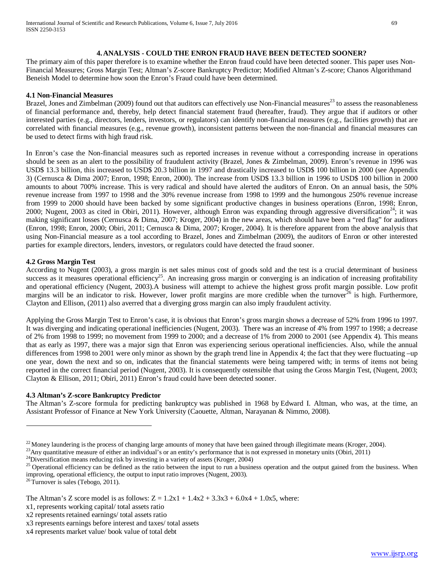#### **4.ANALYSIS - COULD THE ENRON FRAUD HAVE BEEN DETECTED SOONER?**

The primary aim of this paper therefore is to examine whether the Enron fraud could have been detected sooner. This paper uses Non-Financial Measures; Gross Margin Test; Altman's Z-score Bankruptcy Predictor; Modified Altman's Z-score; Chanos Algorithmand Beneish Model to determine how soon the Enron's Fraud could have been determined.

#### **4.1 Non-Financial Measures**

Brazel, Jones and Zimbelman (2009) found out that auditors can effectively use Non-Financial measures<sup>23</sup> to assess the reasonableness of financial performance and, thereby, help detect financial statement fraud (hereafter, fraud). They argue that if auditors or other interested parties (e.g., directors, lenders, investors, or regulators) can identify non-financial measures (e.g., facilities growth) that are correlated with financial measures (e.g., revenue growth), inconsistent patterns between the non-financial and financial measures can be used to detect firms with high fraud risk.

In Enron's case the Non-financial measures such as reported increases in revenue without a corresponding increase in operations should be seen as an alert to the possibility of fraudulent activity (Brazel, Jones & Zimbelman, 2009). Enron's revenue in 1996 was USD\$ 13.3 billion, this increased to USD\$ 20.3 billion in 1997 and drastically increased to USD\$ 100 billion in 2000 (see Appendix 3) (Cernusca & Dima 2007; Enron, 1998; Enron, 2000). The increase from USD\$ 13.3 billion in 1996 to USD\$ 100 billion in 2000 amounts to about 700% increase. This is very radical and should have alerted the auditors of Enron. On an annual basis, the 50% revenue increase from 1997 to 1998 and the 30% revenue increase from 1998 to 1999 and the humongous 250% revenue increase from 1999 to 2000 should have been backed by some significant productive changes in business operations (Enron, 1998; Enron, 2000; Nugent, 2003 as cited in Obiri, 2011). However, although Enron was expanding through aggressive diversification<sup>24</sup>; it was making significant losses (Cernusca & Dima, 2007; Kroger, 2004) in the new areas, which should have been a "red flag" for auditors (Enron, 1998; Enron, 2000; Obiri, 2011; Cernusca & Dima, 2007; Kroger, 2004). It is therefore apparent from the above analysis that using Non-Financial measure as a tool according to Brazel, Jones and Zimbelman (2009), the auditors of Enron or other interested parties for example directors, lenders, investors, or regulators could have detected the fraud sooner.

#### **4.2 Gross Margin Test**

According to Nugent (2003), a gross margin is net sales minus cost of goods sold and the test is a crucial determinant of business success as it measures operational efficiency<sup>25</sup>. An increasing gross margin or converging is an indication of increasing profitability and operational efficiency (Nugent, 2003).A business will attempt to achieve the highest gross profit margin possible. Low profit margins will be an indicator to risk. However, lower profit margins are more credible when the turnover<sup>26</sup> is high. Furthermore, Clayton and Ellison, (2011) also averred that a diverging gross margin can also imply fraudulent activity.

Applying the Gross Margin Test to Enron's case, it is obvious that Enron's gross margin shows a decrease of 52% from 1996 to 1997. It was diverging and indicating operational inefficiencies (Nugent, 2003). There was an increase of 4% from 1997 to 1998; a decrease of 2% from 1998 to 1999; no movement from 1999 to 2000; and a decrease of 1% from 2000 to 2001 (see Appendix 4). This means that as early as 1997, there was a major sign that Enron was experiencing serious operational inefficiencies. Also, while the annual differences from 1998 to 2001 were only minor as shown by the graph trend line in Appendix 4; the fact that they were fluctuating –up one year, down the next and so on, indicates that the financial statements were being tampered with; in terms of items not being reported in the correct financial period (Nugent, 2003). It is consequently ostensible that using the Gross Margin Test, (Nugent, 2003; Clayton & Ellison, 2011; Obiri, 2011) Enron's fraud could have been detected sooner.

#### **4.3 Altman's Z-score Bankruptcy Predictor**

The Altman's Z-score formula for predicting bankruptcy was published in 1968 by [Edward I. Altman,](http://en.wikipedia.org/wiki/Edward_I._Altman) who was, at the time, an Assistant Professor of Finance at [New York University](http://en.wikipedia.org/wiki/New_York_University) (Caouette, Altman, Narayanan & Nimmo, 2008).

<sup>&</sup>lt;sup>22</sup> Money laundering is the process of changing large amounts of money that have been gained through illegitimate means (Kroger, 2004).<br><sup>23</sup> Any quantitative measure of either an individual's or an entity's performance t improving, operational efficiency, the output to input ratio improves (Nugent, 2003). 26 Turnover is sales (Tebogo, 2011).

The Altman's Z score model is as follows:  $Z = 1.2x1 + 1.4x2 + 3.3x3 + 6.0x4 + 1.0x5$ , where:

x1, represents working capital/ total assets ratio

x2 represents retained earnings/ total assets ratio

x3 represents earnings before interest and taxes/ total assets

x4 represents market value/ book value of total debt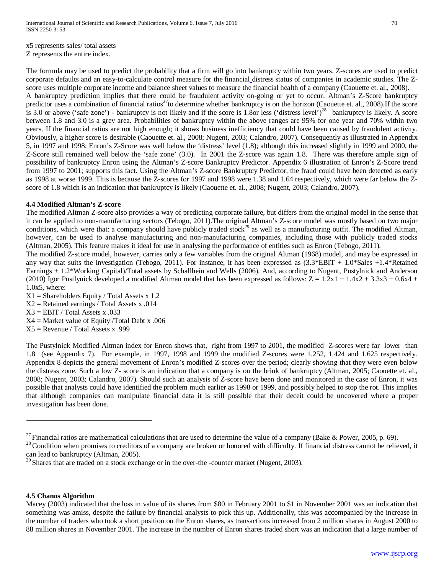x5 represents sales/ total assets Z represents the entire index.

The formula may be used to predict the probability that a firm will go into [bankruptcy](http://en.wikipedia.org/wiki/Bankruptcy) within two years. Z-scores are used to predict corporate defaults and an easy-to-calculate control measure for the [financial](http://en.wikipedia.org/wiki/Financial_distress) distress status of companies in academic studies. The Zscore uses multiple corporate income and balance sheet values to measure the financial health of a company (Caouette et. al., 2008). A bankruptcy prediction implies that there could be fraudulent activity on-going or yet to occur. Altman's Z-Score bankruptcy predictor uses a combination of financial ratios<sup>27</sup>to determine whether bankruptcy is on the horizon (Caouette et. al., 2008).If the score is 3.0 or above ('safe zone') - bankruptcy is not likely and if the score is 1.8or less ('distress level')<sup>28</sup>– bankruptcy is likely. A score between 1.8 and 3.0 is a grey area. Probabilities of bankruptcy within the above ranges are 95% for one year and 70% within two years. If the financial ratios are not high enough; it shows business inefficiency that could have been caused by fraudulent activity. Obviously, a higher score is desirable (Caouette et. al., 2008; Nugent, 2003; Calandro, 2007). Consequently as illustrated in Appendix 5, in 1997 and 1998; Enron's Z-Score was well below the 'distress' level (1.8); although this increased slightly in 1999 and 2000, the Z-Score still remained well below the 'safe zone' (3.0). In 2001 the Z-score was again 1.8. There was therefore ample sign of possibility of bankruptcy Enron using the Altman's Z-score Bankruptcy Predictor. Appendix 6 illustration of Enron's Z-Score trend from 1997 to 2001; supports this fact. Using the Altman's Z-score Bankruptcy Predictor, the fraud could have been detected as early as 1998 at worse 1999. This is because the Z-scores for 1997 and 1998 were 1.38 and 1.64 respectively, which were far below the Zscore of 1.8 which is an indication that bankruptcy is likely (Caouette et. al., 2008; Nugent, 2003; Calandro, 2007).

#### **4.4 Modified Altman's Z-score**

The modified Altman Z-score also provides a way of predicting corporate failure, but differs from the original model in the sense that it can be applied to non-manufacturing sectors (Tebogo, 2011).The original Altman's Z-score model was mostly based on two major conditions, which were that: a company should have publicly traded stock<sup>29</sup> as well as a manufacturing outfit. The modified Altman, however, can be used to analyse manufacturing and non-manufacturing companies, including those with publicly traded stocks (Altman, 2005). This feature makes it ideal for use in analysing the performance of entities such as Enron (Tebogo, 2011).

The modified Z-score model, however, carries only a few variables from the original Altman (1968) model, and may be expressed in any way that suits the investigation (Tebogo, 2011). For instance, it has been expressed as  $(3.3*EBIT + 1.0*Sales +1.4*Retained)$ Earnings + 1.2\*Working Capital)/Total assets by Schallhein and Wells (2006). And, according to Nugent, Pustylnick and Anderson (2010) Igor Pustlynick developed a modified Altman model that has been expressed as follows:  $Z = 1.2x1 + 1.4x2 + 3.3x3 + 0.6x4 +$ 1.0x5, where:

- $X1 =$ Shareholders Equity / Total Assets x 1.2
- $X2$  = Retained earnings / Total Assets x .014
- $X3 = EBIT / Total Assets x .033$
- $X4 =$  Market value of Equity /Total Debt x .006
- $X5 =$  Revenue / Total Assets x .999

The Pustylnick Modified Altman index for Enron shows that, right from 1997 to 2001, the modified Z-scores were far lower than 1.8 (see Appendix 7). For example, in 1997, 1998 and 1999 the modified Z-scores were 1.252, 1.424 and 1.625 respectively. Appendix 8 depicts the general movement of Enron's modified Z-scores over the period; clearly showing that they were even below the distress zone. Such a low Z- score is an indication that a company is on the brink of bankruptcy (Altman, 2005; Caouette et. al., 2008; Nugent, 2003; Calandro, 2007). Should such an analysis of Z-score have been done and monitored in the case of Enron, it was possible that analysts could have identified the problem much earlier as 1998 or 1999, and possibly helped to stop the rot. This implies that although companies can manipulate financial data it is still possible that their deceit could be uncovered where a proper investigation has been done.

#### **4.5 Chanos Algorithm**

<sup>&</sup>lt;sup>27</sup> Financial ratios are mathematical calculations that are used to determine the value of a company (Bake & Power, 2005, p. 69).<br><sup>28</sup> Condition when promises to [creditors](http://en.wikipedia.org/wiki/Creditors) of a company are broken or honored with difficul can lead to [bankruptcy](http://en.wikipedia.org/wiki/Bankruptcy) (Altman, 2005). <sup>29</sup> Shares that are traded on a stock exchange or in the over-the -counter market (Nugent, 2003).

Macey (2003) indicated that the loss in value of its shares from \$80 in February 2001 to \$1 in November 2001 was an indication that something was amiss, despite the failure by financial analysts to pick this up. Additionally, this was accompanied by the increase in the number of traders who took a short position on the Enron shares, as transactions increased from 2 million shares in August 2000 to 88 million shares in November 2001. The increase in the number of Enron shares traded short was an indication that a large number of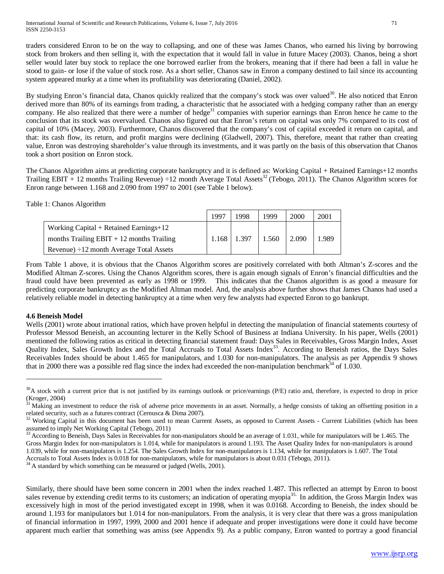traders considered Enron to be on the way to collapsing, and one of these was James Chanos, who earned his living by borrowing stock from brokers and then selling it, with the expectation that it would fall in value in future Macey (2003). Chanos, being a short seller would later buy stock to replace the one borrowed earlier from the brokers, meaning that if there had been a fall in value he stood to gain- or lose if the value of stock rose. As a short seller, Chanos saw in Enron a company destined to fail since its accounting system appeared murky at a time when its profitability was deteriorating (Daniel, 2002).

By studying Enron's financial data, Chanos quickly realized that the company's stock was over valued<sup>30</sup>. He also noticed that Enron derived more than 80% of its earnings from trading, a characteristic that he associated with a hedging company rather than an energy company. He also realized that there were a number of hedge<sup>31</sup> companies with superior earnings than Enron hence he came to the conclusion that its stock was overvalued. Chanos also figured out that Enron's return on capital was only 7% compared to its cost of capital of 10% (Macey, 2003). Furthermore, Chanos discovered that the company's cost of capital exceeded it return on capital, and that: its cash flow, its return, and profit margins were declining (Gladwell, 2007). This, therefore, meant that rather than creating value, Enron was destroying shareholder's value through its investments, and it was partly on the basis of this observation that Chanos took a short position on Enron stock.

The Chanos Algorithm aims at predicting corporate bankruptcy and it is defined as: Working Capital + Retained Earnings+12 months Trailing EBIT + 12 months Trailing Revenue)  $\div$ 12 month Average Total Assets<sup>32</sup> (Tebogo, 2011). The Chanos Algorithm scores for Enron range between 1.168 and 2.090 from 1997 to 2001 (see Table 1 below).

#### Table 1: Chanos Algorithm

|                                               | $199^{\circ}$ | 1998  | 1999  | 2000  | 2001  |
|-----------------------------------------------|---------------|-------|-------|-------|-------|
| Working Capital $+$ Retained Earnings $+12$   |               |       |       |       |       |
| months Trailing $EBIT + 12$ months Trailing   | 1.168         | 1.397 | 1.560 | 2.090 | 1.989 |
| Revenue) $\div 12$ month Average Total Assets |               |       |       |       |       |

From Table 1 above, it is obvious that the Chanos Algorithm scores are positively correlated with both Altman's Z-scores and the Modified Altman Z-scores. Using the Chanos Algorithm scores, there is again enough signals of Enron's financial difficulties and the fraud could have been prevented as early as 1998 or 1999. This indicates that the Chanos algorithm is as good a measure for predicting corporate bankruptcy as the Modified Altman model. And, the analysis above further shows that James Chanos had used a relatively reliable model in detecting bankruptcy at a time when very few analysts had expected Enron to go bankrupt.

### **4.6 Beneish Model**

Wells (2001) wrote about irrational ratios, which have proven helpful in detecting the manipulation of financial statements courtesy of Professor Messod Beneish, an accounting lecturer in the Kelly School of Business at Indiana University. In his paper, Wells (2001) mentioned the following ratios as critical in detecting financial statement fraud: Days Sales in Receivables, Gross Margin Index, Asset Quality Index, Sales Growth Index and the Total Accruals to Total Assets Index<sup>33</sup>. According to Beneish ratios, the Days Sales Receivables Index should be about 1.465 for manipulators, and 1.030 for non-manipulators. The analysis as per Appendix 9 shows that in 2000 there was a possible red flag since the index had exceeded the non-manipulation benchmark $^{34}$  of 1.030.

Accruals to Total Assets Index is 0.018 for non-manipulators, while for manipulators is about 0.031 (Tebogo, 2011). <sup>34</sup> A standard by which something can be measured or judged (Wells, 2001).

Similarly, there should have been some concern in 2001 when the index reached 1.487. This reflected an attempt by Enron to boost sales revenue by extending credit terms to its customers; an indication of operating myopia<sup>35.</sup> In addition, the Gross Margin Index was excessively high in most of the period investigated except in 1998, when it was 0.0168. According to Beneish, the index should be around 1.193 for manipulators but 1.014 for non-manipulators. From the analysis, it is very clear that there was a gross manipulation of financial information in 1997, 1999, 2000 and 2001 hence if adequate and proper investigations were done it could have become apparent much earlier that something was amiss (see Appendix 9). As a public company, Enron wanted to portray a good financial

 $30$ A stock with a current price that is not justified by its earnings outlook or price/earnings (P/E) ratio and, therefore, is expected to drop in price  $(Kroger, 2004)$ 

<sup>31</sup> Making an investment to reduce the risk of adverse price movements in an asset. Normally, a hedge consists of taking an offsetting position in a related security, such as a futures contract (Cernusca & Dima 2007).<br><sup>32</sup> Working Capital in this document has been used to mean Current Assets, as opposed to Current Assets - Current Liabilities (which has been

assumed to imply Net Working Capital (Tebogo, 2011)<br><sup>33</sup> According to Beneish, Days Sales in Receivables for non-manipulators should be an average of 1.031, while for manipulators will be 1.465. The

Gross Margin Index for non-manipulators is 1.014, while for manipulators is around 1.193. The Asset Quality Index for non-manipulators is around 1.039, while for non-manipulators is 1.254. The Sales Growth Index for non-manipulators is 1.134, while for manipulators is 1.607. The Total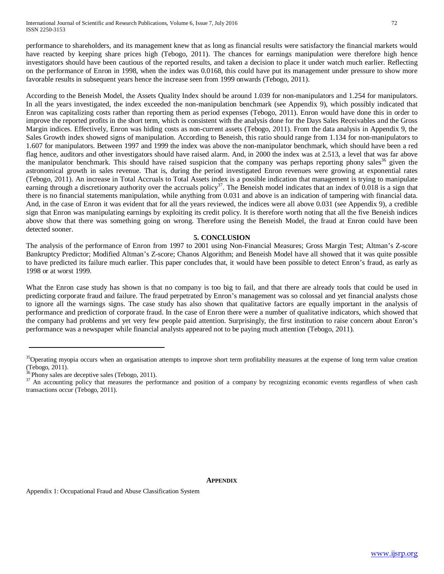performance to shareholders, and its management knew that as long as financial results were satisfactory the financial markets would have reacted by keeping share prices high (Tebogo, 2011). The chances for earnings manipulation were therefore high hence investigators should have been cautious of the reported results, and taken a decision to place it under watch much earlier. Reflecting on the performance of Enron in 1998, when the index was 0.0168, this could have put its management under pressure to show more favorable results in subsequent years hence the increase seen from 1999 onwards (Tebogo, 2011).

According to the Beneish Model, the Assets Quality Index should be around 1.039 for non-manipulators and 1.254 for manipulators. In all the years investigated, the index exceeded the non-manipulation benchmark (see Appendix 9), which possibly indicated that Enron was capitalizing costs rather than reporting them as period expenses (Tebogo, 2011). Enron would have done this in order to improve the reported profits in the short term, which is consistent with the analysis done for the Days Sales Receivables and the Gross Margin indices. Effectively, Enron was hiding costs as non-current assets (Tebogo, 2011). From the data analysis in Appendix 9, the Sales Growth index showed signs of manipulation. According to Beneish, this ratio should range from 1.134 for non-manipulators to 1.607 for manipulators. Between 1997 and 1999 the index was above the non-manipulator benchmark, which should have been a red flag hence, auditors and other investigators should have raised alarm. And, in 2000 the index was at 2.513, a level that was far above the manipulator benchmark. This should have raised suspicion that the company was perhaps reporting phony sales<sup>36</sup> given the astronomical growth in sales revenue. That is, during the period investigated Enron revenues were growing at exponential rates (Tebogo, 2011). An increase in Total Accruals to Total Assets index is a possible indication that management is trying to manipulate earning through a discretionary authority over the accruals policy<sup>37</sup>. The Beneish model indicates that an index of  $0.018$  is a sign that there is no financial statements manipulation, while anything from 0.031 and above is an indication of tampering with financial data. And, in the case of Enron it was evident that for all the years reviewed, the indices were all above 0.031 (see Appendix 9), a credible sign that Enron was manipulating earnings by exploiting its credit policy. It is therefore worth noting that all the five Beneish indices above show that there was something going on wrong. Therefore using the Beneish Model, the fraud at Enron could have been detected sooner.

#### **5. CONCLUSION**

The analysis of the performance of Enron from 1997 to 2001 using Non-Financial Measures; Gross Margin Test; Altman's Z-score Bankruptcy Predictor; Modified Altman's Z-score; Chanos Algorithm; and Beneish Model have all showed that it was quite possible to have predicted its failure much earlier. This paper concludes that, it would have been possible to detect Enron's fraud, as early as 1998 or at worst 1999.

What the Enron case study has shown is that no company is too big to fail, and that there are already tools that could be used in predicting corporate fraud and failure. The fraud perpetrated by Enron's management was so colossal and yet financial analysts chose to ignore all the warnings signs. The case study has also shown that qualitative factors are equally important in the analysis of performance and prediction of corporate fraud. In the case of Enron there were a number of qualitative indicators, which showed that the company had problems and yet very few people paid attention. Surprisingly, the first institution to raise concern about Enron's performance was a newspaper while financial analysts appeared not to be paying much attention (Tebogo, 2011).

Appendix 1: Occupational Fraud and Abuse Classification System

<sup>&</sup>lt;sup>35</sup>Operating myopia occurs when an organisation attempts to improve short term profitability measures at the expense of long term value creation (Tebogo, 2011).<br><sup>36</sup> Phony sales are deceptive sales (Tebogo, 2011).

<sup>&</sup>lt;sup>37</sup> An accounting policy that measures the performance and position of a company by recognizing economic events regardless of when cash transactions occur (Tebogo, 2011).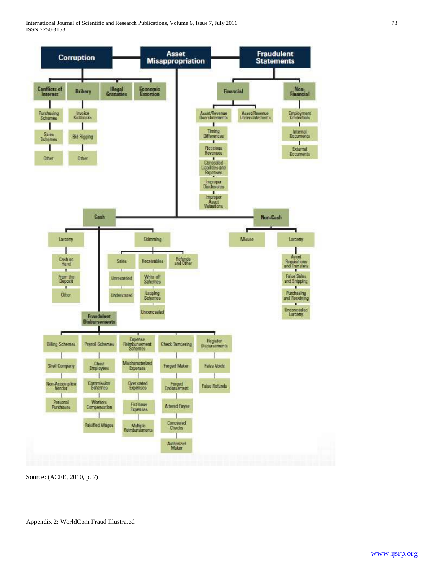

Source: (ACFE, 2010, p. 7)

Appendix 2: WorldCom Fraud Illustrated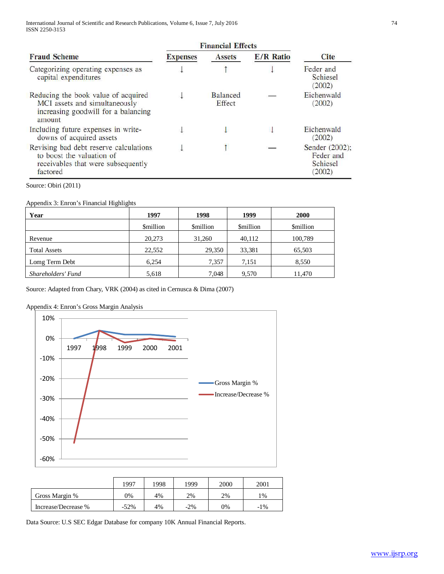International Journal of Scientific and Research Publications, Volume 6, Issue 7, July 2016 74 ISSN 2250-3153

|                                                                                                                       | <b>Financial Effects</b> |                           |                  |                                                   |
|-----------------------------------------------------------------------------------------------------------------------|--------------------------|---------------------------|------------------|---------------------------------------------------|
| <b>Fraud Scheme</b>                                                                                                   | <b>Expenses</b>          | <b>Assets</b>             | <b>E/R</b> Ratio | <b>Cite</b>                                       |
| Categorizing operating expenses as<br>capital expenditures                                                            |                          |                           |                  | Feder and<br>Schiesel<br>(2002)                   |
| Reducing the book value of acquired<br>MCI assets and simultaneously<br>increasing goodwill for a balancing<br>amount |                          | <b>Balanced</b><br>Effect |                  | Eichenwald<br>(2002)                              |
| Including future expenses in write-<br>downs of acquired assets                                                       |                          |                           |                  | Eichenwald<br>(2002)                              |
| Revising bad debt reserve calculations<br>to boost the valuation of<br>receivables that were subsequently<br>factored |                          |                           |                  | Sender (2002);<br>Feder and<br>Schiesel<br>(2002) |

Source: Obiri (2011)

Appendix 3: Enron's Financial Highlights

| Year                | 1997            | 1998            | 1999            | 2000            |
|---------------------|-----------------|-----------------|-----------------|-----------------|
|                     | <b>Smillion</b> | <b>Smillion</b> | <b>Smillion</b> | <b>Smillion</b> |
| Revenue             | 20,273          | 31,260          | 40,112          | 100,789         |
| <b>Total Assets</b> | 22.552          | 29,350          | 33,381          | 65,503          |
| Lomg Term Debt      | 6,254           | 7,357           | 7,151           | 8,550           |
| Shareholders' Fund  | 5,618           | 7,048           | 9,570           | 11,470          |

Source: Adapted from Chary, VRK (2004) as cited in Cernusca & Dima (2007)

# Appendix 4: Enron's Gross Margin Analysis



|                     | 1997    | 1998 | 1999   | 2000 | 2001    |
|---------------------|---------|------|--------|------|---------|
| Gross Margin %      | 0%      | 4%   | 2%     | 2%   | $\%$    |
| Increase/Decrease % | $-52\%$ | 4%   | $-2\%$ | 0%   | 1%<br>- |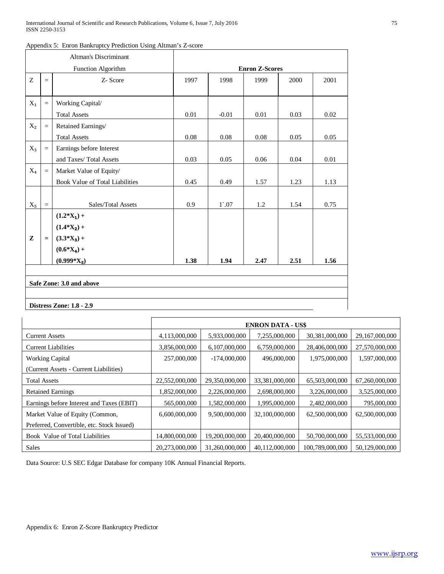|           |           | <b>Altman's Discriminant</b>    |                       |                 |      |      |      |
|-----------|-----------|---------------------------------|-----------------------|-----------------|------|------|------|
|           |           | Function Algorithm              | <b>Enron Z-Scores</b> |                 |      |      |      |
| Z         | $=$       | Z-Score                         | 1997                  | 1998            | 1999 | 2000 | 2001 |
|           |           |                                 |                       |                 |      |      |      |
| $X_1$     | $\quad =$ | Working Capital/                |                       |                 |      |      |      |
|           |           | <b>Total Assets</b>             | 0.01                  | $-0.01$         | 0.01 | 0.03 | 0.02 |
| $X_2$     | $\equiv$  | Retained Earnings/              |                       |                 |      |      |      |
|           |           | <b>Total Assets</b>             | 0.08                  | 0.08            | 0.08 | 0.05 | 0.05 |
| $X_3$     | $\equiv$  | Earnings before Interest        |                       |                 |      |      |      |
|           |           | and Taxes/ Total Assets         | 0.03                  | 0.05            | 0.06 | 0.04 | 0.01 |
| $X_4$     | $\equiv$  | Market Value of Equity/         |                       |                 |      |      |      |
|           |           | Book Value of Total Liabilities | 0.45                  | 0.49            | 1.57 | 1.23 | 1.13 |
|           |           |                                 |                       |                 |      |      |      |
| $X_5$     | $\equiv$  | Sales/Total Assets              | 0.9                   | $1^{\degree}07$ | 1.2  | 1.54 | 0.75 |
|           |           | $(1.2 * X_1) +$                 |                       |                 |      |      |      |
|           |           | $(1.4*X_2) +$                   |                       |                 |      |      |      |
| ${\bf z}$ | $=$       | $(3.3*X_3) +$                   |                       |                 |      |      |      |
|           |           | $(0.6*X_4) +$                   |                       |                 |      |      |      |
|           |           | $(0.999*X_5)$                   | 1.38                  | 1.94            | 2.47 | 2.51 | 1.56 |
|           |           |                                 |                       |                 |      |      |      |
|           |           | Safe Zone: 3.0 and above        |                       |                 |      |      |      |
|           |           |                                 |                       |                 |      |      |      |
|           |           | <b>Distress Zone: 1.8 - 2.9</b> |                       |                 |      |      |      |

|  | Appendix 5: Enron Bankruptcy Prediction Using Altman's Z-score |  |  |  |
|--|----------------------------------------------------------------|--|--|--|
|--|----------------------------------------------------------------|--|--|--|

# **ENRON DATA - US\$** Current Assets (4,113,000,000 | 5,933,000,000 | 7,255,000,000 | 30,381,000,000 | 29,167,000,000 Current Liabilities <br>3,856,000,000 6,107,000,000 6,759,000,000 28,406,000,000 27,570,000,000 Working Capital 257,000,000 -174,000,000 496,000,000 1,975,000,000 1,597,000,000 (Current Assets - Current Liabilities) Total Assets 22,552,000,000 29,350,000,000 33,381,000,000 65,503,000,000 67,260,000,000 Retained Earnings 1,852,000,000 1 2,226,000,000 2,698,000,000 3,226,000,000 3,525,000,000 Earnings before Interest and Taxes (EBIT)  $\begin{array}{|l|l|l|} 565,000,000 & 1,582,000,000 & 1,995,000,000 & 2,482,000,000 & 795,000,000 \end{array}$ Market Value of Equity (Common, 6,600,000,000 | 9,500,000,000 | 32,100,000,000 | 62,500,000,000 | 62,500,000,000 Preferred, Convertible, etc. Stock Issued) Book Value of Total Liabilities 14,800,000,000 19,200,000,000 20,400,000,000 50,700,000,000 55,533,000,000 Sales 20,273,000,000 31,260,000,000 40,112,000,000 100,789,000,000 50,129,000,000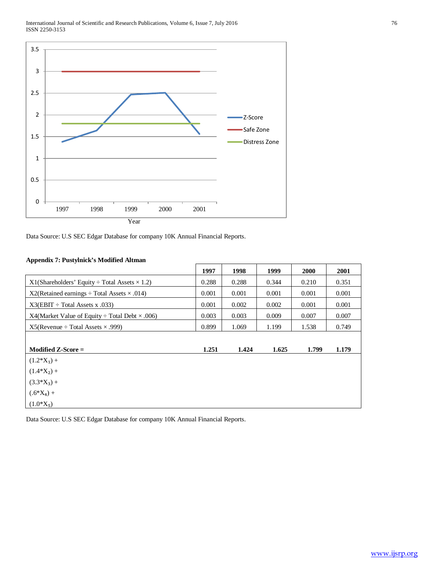

Data Source: U.S SEC Edgar Database for company 10K Annual Financial Reports.

# **Appendix 7: Pustylnick's Modified Altman**

|                                                            | 1997  | 1998  | 1999  | <b>2000</b> | 2001  |
|------------------------------------------------------------|-------|-------|-------|-------------|-------|
| $X1(Shareholders' Equity \div Total Assets \times 1.2)$    | 0.288 | 0.288 | 0.344 | 0.210       | 0.351 |
| $X2(Retained earnings \div Total Assets \times .014)$      | 0.001 | 0.001 | 0.001 | 0.001       | 0.001 |
| $X3(EBIT \div Total Assets x .033)$                        | 0.001 | 0.002 | 0.002 | 0.001       | 0.001 |
| X4(Market Value of Equity $\div$ Total Debt $\times$ .006) | 0.003 | 0.003 | 0.009 | 0.007       | 0.007 |
| $X5$ (Revenue ÷ Total Assets $\times$ .999)                | 0.899 | 1.069 | 1.199 | 1.538       | 0.749 |
|                                                            |       |       |       |             |       |
| Modified $Z$ -Score $=$                                    | 1.251 | 1.424 | 1.625 | 1.799       | 1.179 |
| $(1.2*X_1) +$                                              |       |       |       |             |       |
| $(1.4*X_2) +$                                              |       |       |       |             |       |
| $(3.3*X_3) +$                                              |       |       |       |             |       |
| $(.6*X_4) +$                                               |       |       |       |             |       |
| $(1.0*X_5)$                                                |       |       |       |             |       |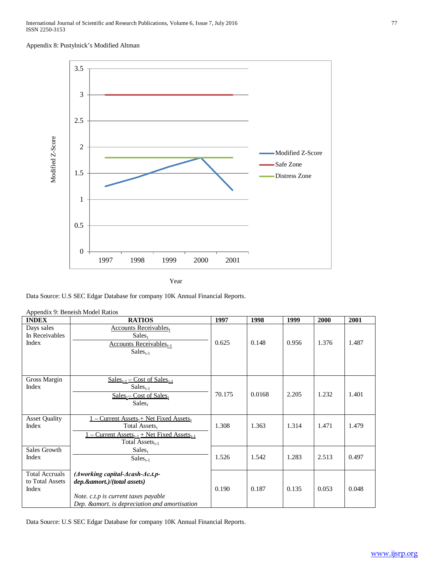#### Appendix 8: Pustylnick's Modified Altman



Year

Data Source: U.S SEC Edgar Database for company 10K Annual Financial Reports.

|                       | Appendix 9: Beneish Model Ratios                                       |        |        |       |       |       |
|-----------------------|------------------------------------------------------------------------|--------|--------|-------|-------|-------|
| <b>INDEX</b>          | <b>RATIOS</b>                                                          | 1997   | 1998   | 1999  | 2000  | 2001  |
| Days sales            | <b>Accounts Receivables</b> t                                          |        |        |       |       |       |
| In Receivables        | $Sales_t$                                                              |        |        |       |       |       |
| Index                 | <b>Accounts Receivables</b> <sub>t-1</sub>                             | 0.625  | 0.148  | 0.956 | 1.376 | 1.487 |
|                       | $Sales_{t-1}$                                                          |        |        |       |       |       |
|                       |                                                                        |        |        |       |       |       |
|                       |                                                                        |        |        |       |       |       |
|                       |                                                                        |        |        |       |       |       |
| Gross Margin          | $Sales_{t-1}$ – Cost of Sales <sub>t-1</sub>                           |        |        |       |       |       |
| Index                 | $Salest-1$                                                             |        |        |       |       |       |
|                       | $Sales_t - Cost of Sales_t$                                            | 70.175 | 0.0168 | 2.205 | 1.232 | 1.401 |
|                       | $Sales_t$                                                              |        |        |       |       |       |
|                       |                                                                        |        |        |       |       |       |
| <b>Asset Quality</b>  | Current $\text{Assets}_{t}$ + Net Fixed Assets,                        |        |        |       |       |       |
| Index                 | Total Assets,                                                          | 1.308  | 1.363  | 1.314 | 1.471 | 1.479 |
|                       | <u>– Current Assets<sub>t-1</sub> + Net Fixed Assets<sub>t-1</sub></u> |        |        |       |       |       |
|                       | Total Assets $_{t-1}$                                                  |        |        |       |       |       |
| Sales Growth          | $Sales_t$                                                              |        |        |       |       |       |
| Index                 | $Salest-1$                                                             | 1.526  | 1.542  | 1.283 | 2.513 | 0.497 |
|                       |                                                                        |        |        |       |       |       |
| <b>Total Accruals</b> | $(A$ working capital- $A$ cash- $A$ c.t.p-                             |        |        |       |       |       |
| to Total Assets       | dep.&amort.)/(total assets)                                            |        |        |       |       |       |
| Index                 |                                                                        | 0.190  | 0.187  | 0.135 | 0.053 | 0.048 |
|                       | Note. c.t.p is current taxes payable                                   |        |        |       |       |       |
|                       | Dep. & amort. is depreciation and amortisation                         |        |        |       |       |       |

.<br>Note is not all Dations of the Read Ratio